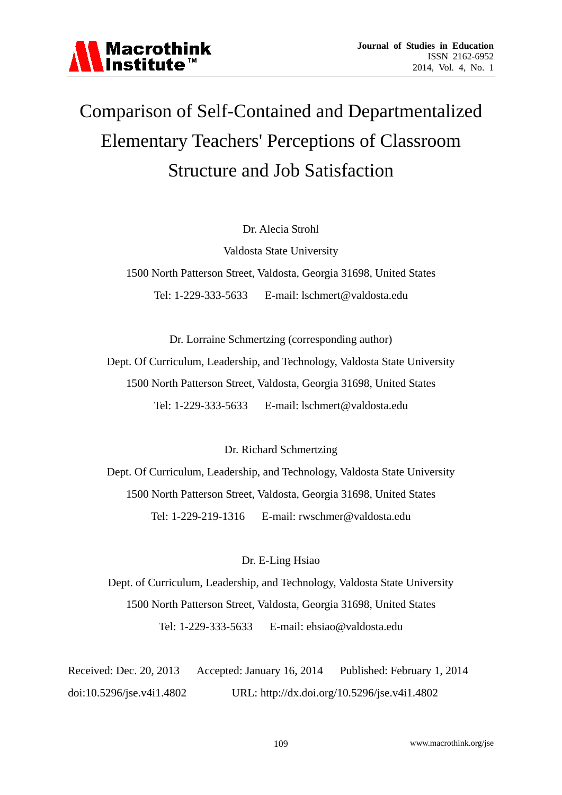### Comparison of Self-Contained and Departmentalized Elementary Teachers' Perceptions of Classroom Structure and Job Satisfaction

Dr. Alecia Strohl

Valdosta State University

1500 North Patterson Street, Valdosta, Georgia 31698, United States Tel: 1-229-333-5633 E-mail: lschmert@valdosta.edu

Dr. Lorraine Schmertzing (corresponding author) Dept. Of Curriculum, Leadership, and Technology, Valdosta State University 1500 North Patterson Street, Valdosta, Georgia 31698, United States Tel: 1-229-333-5633 E-mail: lschmert@valdosta.edu

Dr. Richard Schmertzing

Dept. Of Curriculum, Leadership, and Technology, Valdosta State University 1500 North Patterson Street, Valdosta, Georgia 31698, United States Tel: 1-229-219-1316 E-mail: rwschmer@valdosta.edu

#### Dr. E-Ling Hsiao

Dept. of Curriculum, Leadership, and Technology, Valdosta State University 1500 North Patterson Street, Valdosta, Georgia 31698, United States Tel: 1-229-333-5633 E-mail: ehsiao@valdosta.edu

Received: Dec. 20, 2013 Accepted: January 16, 2014 Published: February 1, 2014 doi:10.5296/jse.v4i1.4802 URL: http://dx.doi.org/10.5296/jse.v4i1.4802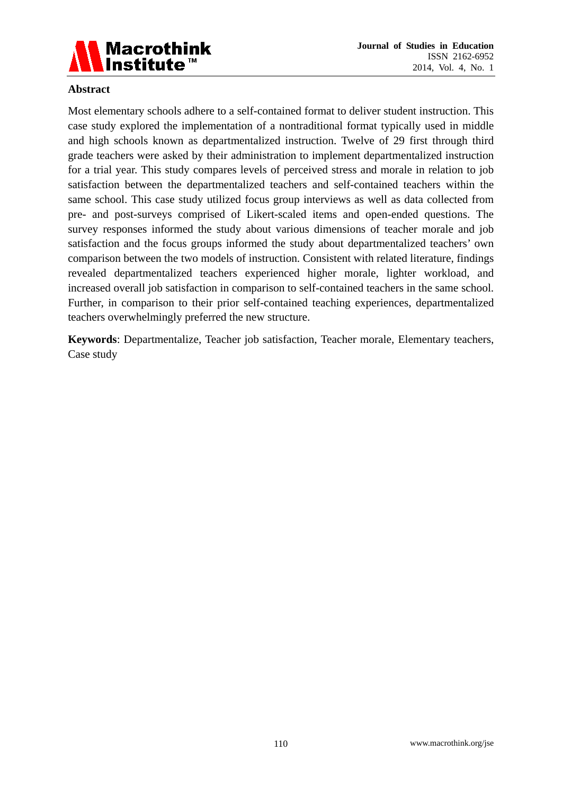

#### **Abstract**

Most elementary schools adhere to a self-contained format to deliver student instruction. This case study explored the implementation of a nontraditional format typically used in middle and high schools known as departmentalized instruction. Twelve of 29 first through third grade teachers were asked by their administration to implement departmentalized instruction for a trial year. This study compares levels of perceived stress and morale in relation to job satisfaction between the departmentalized teachers and self-contained teachers within the same school. This case study utilized focus group interviews as well as data collected from pre- and post-surveys comprised of Likert-scaled items and open-ended questions. The survey responses informed the study about various dimensions of teacher morale and job satisfaction and the focus groups informed the study about departmentalized teachers' own comparison between the two models of instruction. Consistent with related literature, findings revealed departmentalized teachers experienced higher morale, lighter workload, and increased overall job satisfaction in comparison to self-contained teachers in the same school. Further, in comparison to their prior self-contained teaching experiences, departmentalized teachers overwhelmingly preferred the new structure.

**Keywords**: Departmentalize, Teacher job satisfaction, Teacher morale, Elementary teachers, Case study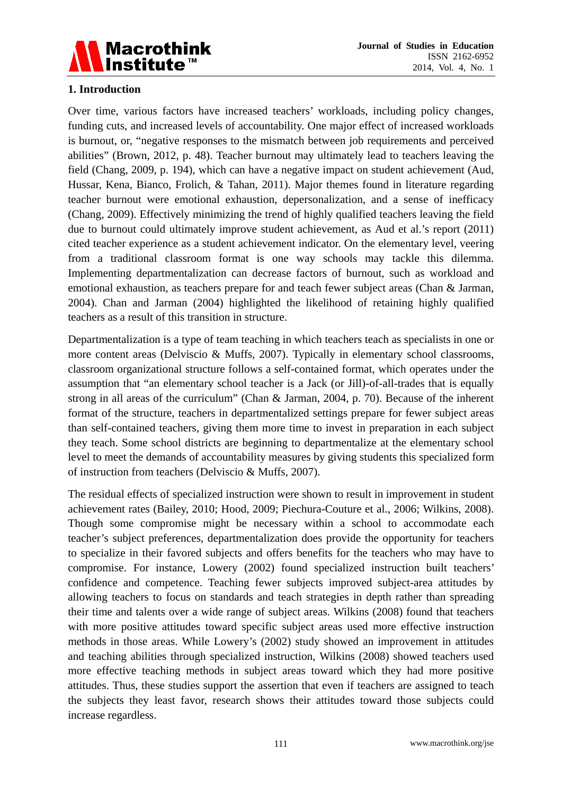

#### **1. Introduction**

Over time, various factors have increased teachers' workloads, including policy changes, funding cuts, and increased levels of accountability. One major effect of increased workloads is burnout, or, "negative responses to the mismatch between job requirements and perceived abilities" (Brown, 2012, p. 48). Teacher burnout may ultimately lead to teachers leaving the field (Chang, 2009, p. 194), which can have a negative impact on student achievement (Aud, Hussar, Kena, Bianco, Frolich, & Tahan, 2011). Major themes found in literature regarding teacher burnout were emotional exhaustion, depersonalization, and a sense of inefficacy (Chang, 2009). Effectively minimizing the trend of highly qualified teachers leaving the field due to burnout could ultimately improve student achievement, as Aud et al.'s report (2011) cited teacher experience as a student achievement indicator. On the elementary level, veering from a traditional classroom format is one way schools may tackle this dilemma. Implementing departmentalization can decrease factors of burnout, such as workload and emotional exhaustion, as teachers prepare for and teach fewer subject areas (Chan & Jarman, 2004). Chan and Jarman (2004) highlighted the likelihood of retaining highly qualified teachers as a result of this transition in structure.

Departmentalization is a type of team teaching in which teachers teach as specialists in one or more content areas (Delviscio & Muffs, 2007). Typically in elementary school classrooms, classroom organizational structure follows a self-contained format, which operates under the assumption that "an elementary school teacher is a Jack (or Jill)-of-all-trades that is equally strong in all areas of the curriculum" (Chan & Jarman, 2004, p. 70). Because of the inherent format of the structure, teachers in departmentalized settings prepare for fewer subject areas than self-contained teachers, giving them more time to invest in preparation in each subject they teach. Some school districts are beginning to departmentalize at the elementary school level to meet the demands of accountability measures by giving students this specialized form of instruction from teachers (Delviscio & Muffs, 2007).

The residual effects of specialized instruction were shown to result in improvement in student achievement rates (Bailey, 2010; Hood, 2009; Piechura-Couture et al., 2006; Wilkins, 2008). Though some compromise might be necessary within a school to accommodate each teacher's subject preferences, departmentalization does provide the opportunity for teachers to specialize in their favored subjects and offers benefits for the teachers who may have to compromise. For instance, Lowery (2002) found specialized instruction built teachers' confidence and competence. Teaching fewer subjects improved subject-area attitudes by allowing teachers to focus on standards and teach strategies in depth rather than spreading their time and talents over a wide range of subject areas. Wilkins (2008) found that teachers with more positive attitudes toward specific subject areas used more effective instruction methods in those areas. While Lowery's (2002) study showed an improvement in attitudes and teaching abilities through specialized instruction, Wilkins (2008) showed teachers used more effective teaching methods in subject areas toward which they had more positive attitudes. Thus, these studies support the assertion that even if teachers are assigned to teach the subjects they least favor, research shows their attitudes toward those subjects could increase regardless.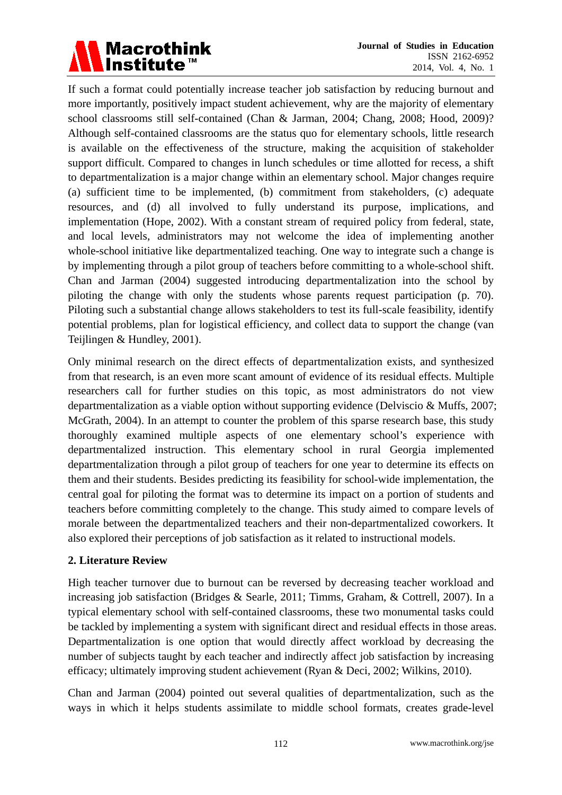# Macrothink<br>Institute™

If such a format could potentially increase teacher job satisfaction by reducing burnout and more importantly, positively impact student achievement, why are the majority of elementary school classrooms still self-contained (Chan & Jarman, 2004; Chang, 2008; Hood, 2009)? Although self-contained classrooms are the status quo for elementary schools, little research is available on the effectiveness of the structure, making the acquisition of stakeholder support difficult. Compared to changes in lunch schedules or time allotted for recess, a shift to departmentalization is a major change within an elementary school. Major changes require (a) sufficient time to be implemented, (b) commitment from stakeholders, (c) adequate resources, and (d) all involved to fully understand its purpose, implications, and implementation (Hope, 2002). With a constant stream of required policy from federal, state, and local levels, administrators may not welcome the idea of implementing another whole-school initiative like departmentalized teaching. One way to integrate such a change is by implementing through a pilot group of teachers before committing to a whole-school shift. Chan and Jarman (2004) suggested introducing departmentalization into the school by piloting the change with only the students whose parents request participation (p. 70). Piloting such a substantial change allows stakeholders to test its full-scale feasibility, identify potential problems, plan for logistical efficiency, and collect data to support the change (van Teijlingen & Hundley, 2001).

Only minimal research on the direct effects of departmentalization exists, and synthesized from that research, is an even more scant amount of evidence of its residual effects. Multiple researchers call for further studies on this topic, as most administrators do not view departmentalization as a viable option without supporting evidence (Delviscio & Muffs, 2007; McGrath, 2004). In an attempt to counter the problem of this sparse research base, this study thoroughly examined multiple aspects of one elementary school's experience with departmentalized instruction. This elementary school in rural Georgia implemented departmentalization through a pilot group of teachers for one year to determine its effects on them and their students. Besides predicting its feasibility for school-wide implementation, the central goal for piloting the format was to determine its impact on a portion of students and teachers before committing completely to the change. This study aimed to compare levels of morale between the departmentalized teachers and their non-departmentalized coworkers. It also explored their perceptions of job satisfaction as it related to instructional models.

#### **2. Literature Review**

High teacher turnover due to burnout can be reversed by decreasing teacher workload and increasing job satisfaction (Bridges & Searle, 2011; Timms, Graham, & Cottrell, 2007). In a typical elementary school with self-contained classrooms, these two monumental tasks could be tackled by implementing a system with significant direct and residual effects in those areas. Departmentalization is one option that would directly affect workload by decreasing the number of subjects taught by each teacher and indirectly affect job satisfaction by increasing efficacy; ultimately improving student achievement (Ryan & Deci, 2002; Wilkins, 2010).

Chan and Jarman (2004) pointed out several qualities of departmentalization, such as the ways in which it helps students assimilate to middle school formats, creates grade-level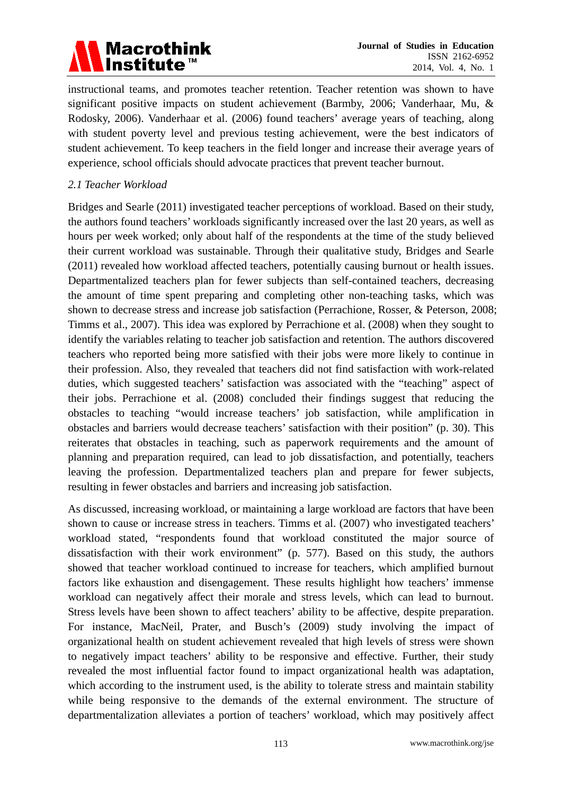## Macrothink<br>|Institute™

instructional teams, and promotes teacher retention. Teacher retention was shown to have significant positive impacts on student achievement (Barmby, 2006; Vanderhaar, Mu, & Rodosky, 2006). Vanderhaar et al. (2006) found teachers' average years of teaching, along with student poverty level and previous testing achievement, were the best indicators of student achievement. To keep teachers in the field longer and increase their average years of experience, school officials should advocate practices that prevent teacher burnout.

#### *2.1 Teacher Workload*

Bridges and Searle (2011) investigated teacher perceptions of workload. Based on their study, the authors found teachers' workloads significantly increased over the last 20 years, as well as hours per week worked; only about half of the respondents at the time of the study believed their current workload was sustainable. Through their qualitative study, Bridges and Searle (2011) revealed how workload affected teachers, potentially causing burnout or health issues. Departmentalized teachers plan for fewer subjects than self-contained teachers, decreasing the amount of time spent preparing and completing other non-teaching tasks, which was shown to decrease stress and increase job satisfaction (Perrachione, Rosser, & Peterson, 2008; Timms et al., 2007). This idea was explored by Perrachione et al. (2008) when they sought to identify the variables relating to teacher job satisfaction and retention. The authors discovered teachers who reported being more satisfied with their jobs were more likely to continue in their profession. Also, they revealed that teachers did not find satisfaction with work-related duties, which suggested teachers' satisfaction was associated with the "teaching" aspect of their jobs. Perrachione et al. (2008) concluded their findings suggest that reducing the obstacles to teaching "would increase teachers' job satisfaction, while amplification in obstacles and barriers would decrease teachers' satisfaction with their position" (p. 30). This reiterates that obstacles in teaching, such as paperwork requirements and the amount of planning and preparation required, can lead to job dissatisfaction, and potentially, teachers leaving the profession. Departmentalized teachers plan and prepare for fewer subjects, resulting in fewer obstacles and barriers and increasing job satisfaction.

As discussed, increasing workload, or maintaining a large workload are factors that have been shown to cause or increase stress in teachers. Timms et al. (2007) who investigated teachers' workload stated, "respondents found that workload constituted the major source of dissatisfaction with their work environment" (p. 577). Based on this study, the authors showed that teacher workload continued to increase for teachers, which amplified burnout factors like exhaustion and disengagement. These results highlight how teachers' immense workload can negatively affect their morale and stress levels, which can lead to burnout. Stress levels have been shown to affect teachers' ability to be affective, despite preparation. For instance, MacNeil, Prater, and Busch's (2009) study involving the impact of organizational health on student achievement revealed that high levels of stress were shown to negatively impact teachers' ability to be responsive and effective. Further, their study revealed the most influential factor found to impact organizational health was adaptation, which according to the instrument used, is the ability to tolerate stress and maintain stability while being responsive to the demands of the external environment. The structure of departmentalization alleviates a portion of teachers' workload, which may positively affect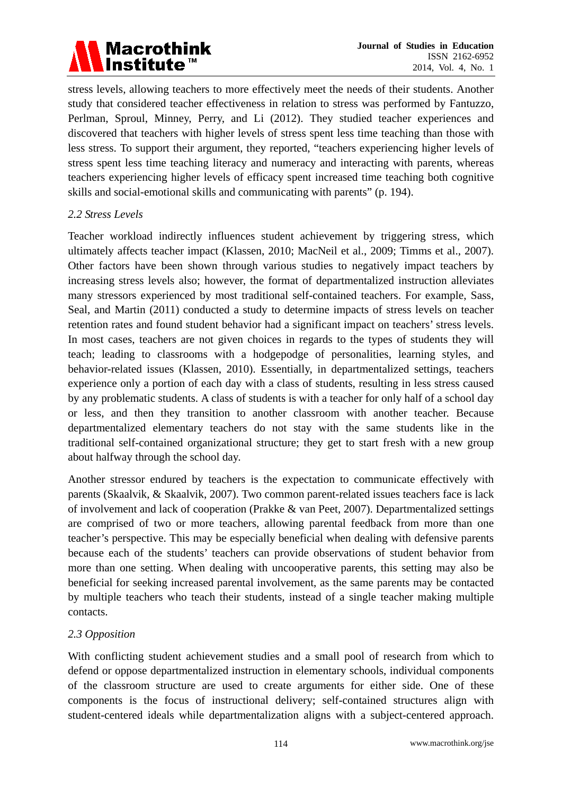### **Macrothink** Institute™

stress levels, allowing teachers to more effectively meet the needs of their students. Another study that considered teacher effectiveness in relation to stress was performed by Fantuzzo, Perlman, Sproul, Minney, Perry, and Li (2012). They studied teacher experiences and discovered that teachers with higher levels of stress spent less time teaching than those with less stress. To support their argument, they reported, "teachers experiencing higher levels of stress spent less time teaching literacy and numeracy and interacting with parents, whereas teachers experiencing higher levels of efficacy spent increased time teaching both cognitive skills and social-emotional skills and communicating with parents" (p. 194).

#### *2.2 Stress Levels*

Teacher workload indirectly influences student achievement by triggering stress, which ultimately affects teacher impact (Klassen, 2010; MacNeil et al., 2009; Timms et al., 2007). Other factors have been shown through various studies to negatively impact teachers by increasing stress levels also; however, the format of departmentalized instruction alleviates many stressors experienced by most traditional self-contained teachers. For example, Sass, Seal, and Martin (2011) conducted a study to determine impacts of stress levels on teacher retention rates and found student behavior had a significant impact on teachers' stress levels. In most cases, teachers are not given choices in regards to the types of students they will teach; leading to classrooms with a hodgepodge of personalities, learning styles, and behavior-related issues (Klassen, 2010). Essentially, in departmentalized settings, teachers experience only a portion of each day with a class of students, resulting in less stress caused by any problematic students. A class of students is with a teacher for only half of a school day or less, and then they transition to another classroom with another teacher. Because departmentalized elementary teachers do not stay with the same students like in the traditional self-contained organizational structure; they get to start fresh with a new group about halfway through the school day.

Another stressor endured by teachers is the expectation to communicate effectively with parents (Skaalvik, & Skaalvik, 2007). Two common parent-related issues teachers face is lack of involvement and lack of cooperation (Prakke & van Peet, 2007). Departmentalized settings are comprised of two or more teachers, allowing parental feedback from more than one teacher's perspective. This may be especially beneficial when dealing with defensive parents because each of the students' teachers can provide observations of student behavior from more than one setting. When dealing with uncooperative parents, this setting may also be beneficial for seeking increased parental involvement, as the same parents may be contacted by multiple teachers who teach their students, instead of a single teacher making multiple contacts.

#### *2.3 Opposition*

With conflicting student achievement studies and a small pool of research from which to defend or oppose departmentalized instruction in elementary schools, individual components of the classroom structure are used to create arguments for either side. One of these components is the focus of instructional delivery; self-contained structures align with student-centered ideals while departmentalization aligns with a subject-centered approach.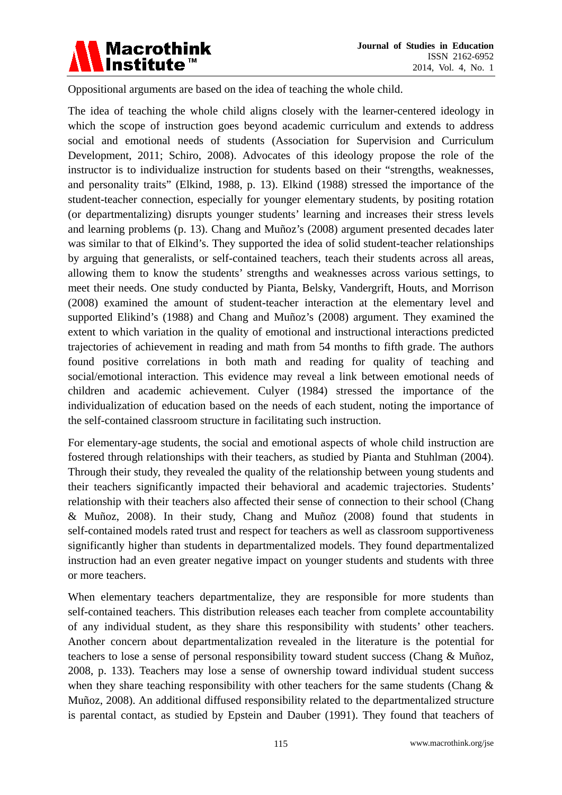

Oppositional arguments are based on the idea of teaching the whole child.

The idea of teaching the whole child aligns closely with the learner-centered ideology in which the scope of instruction goes beyond academic curriculum and extends to address social and emotional needs of students (Association for Supervision and Curriculum Development, 2011; Schiro, 2008). Advocates of this ideology propose the role of the instructor is to individualize instruction for students based on their "strengths, weaknesses, and personality traits" (Elkind, 1988, p. 13). Elkind (1988) stressed the importance of the student-teacher connection, especially for younger elementary students, by positing rotation (or departmentalizing) disrupts younger students' learning and increases their stress levels and learning problems (p. 13). Chang and Muñoz's (2008) argument presented decades later was similar to that of Elkind's. They supported the idea of solid student-teacher relationships by arguing that generalists, or self-contained teachers, teach their students across all areas, allowing them to know the students' strengths and weaknesses across various settings, to meet their needs. One study conducted by Pianta, Belsky, Vandergrift, Houts, and Morrison (2008) examined the amount of student-teacher interaction at the elementary level and supported Elikind's (1988) and Chang and Muñoz's (2008) argument. They examined the extent to which variation in the quality of emotional and instructional interactions predicted trajectories of achievement in reading and math from 54 months to fifth grade. The authors found positive correlations in both math and reading for quality of teaching and social/emotional interaction. This evidence may reveal a link between emotional needs of children and academic achievement. Culyer (1984) stressed the importance of the individualization of education based on the needs of each student, noting the importance of the self-contained classroom structure in facilitating such instruction.

For elementary-age students, the social and emotional aspects of whole child instruction are fostered through relationships with their teachers, as studied by Pianta and Stuhlman (2004). Through their study, they revealed the quality of the relationship between young students and their teachers significantly impacted their behavioral and academic trajectories. Students' relationship with their teachers also affected their sense of connection to their school (Chang & Muñoz, 2008). In their study, Chang and Muñoz (2008) found that students in self-contained models rated trust and respect for teachers as well as classroom supportiveness significantly higher than students in departmentalized models. They found departmentalized instruction had an even greater negative impact on younger students and students with three or more teachers.

When elementary teachers departmentalize, they are responsible for more students than self-contained teachers. This distribution releases each teacher from complete accountability of any individual student, as they share this responsibility with students' other teachers. Another concern about departmentalization revealed in the literature is the potential for teachers to lose a sense of personal responsibility toward student success (Chang & Muñoz, 2008, p. 133). Teachers may lose a sense of ownership toward individual student success when they share teaching responsibility with other teachers for the same students (Chang & Muñoz, 2008). An additional diffused responsibility related to the departmentalized structure is parental contact, as studied by Epstein and Dauber (1991). They found that teachers of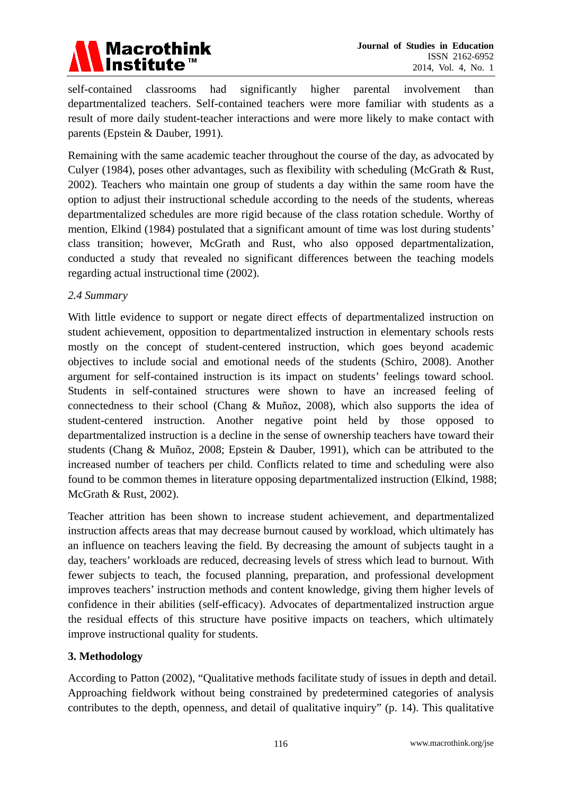

self-contained classrooms had significantly higher parental involvement than departmentalized teachers. Self-contained teachers were more familiar with students as a result of more daily student-teacher interactions and were more likely to make contact with parents (Epstein & Dauber, 1991).

Remaining with the same academic teacher throughout the course of the day, as advocated by Culyer (1984), poses other advantages, such as flexibility with scheduling (McGrath & Rust, 2002). Teachers who maintain one group of students a day within the same room have the option to adjust their instructional schedule according to the needs of the students, whereas departmentalized schedules are more rigid because of the class rotation schedule. Worthy of mention, Elkind (1984) postulated that a significant amount of time was lost during students' class transition; however, McGrath and Rust, who also opposed departmentalization, conducted a study that revealed no significant differences between the teaching models regarding actual instructional time (2002).

#### *2.4 Summary*

With little evidence to support or negate direct effects of departmentalized instruction on student achievement, opposition to departmentalized instruction in elementary schools rests mostly on the concept of student-centered instruction, which goes beyond academic objectives to include social and emotional needs of the students (Schiro, 2008). Another argument for self-contained instruction is its impact on students' feelings toward school. Students in self-contained structures were shown to have an increased feeling of connectedness to their school (Chang & Muñoz, 2008), which also supports the idea of student-centered instruction. Another negative point held by those opposed to departmentalized instruction is a decline in the sense of ownership teachers have toward their students (Chang & Muñoz, 2008; Epstein & Dauber, 1991), which can be attributed to the increased number of teachers per child. Conflicts related to time and scheduling were also found to be common themes in literature opposing departmentalized instruction (Elkind, 1988; McGrath & Rust, 2002).

Teacher attrition has been shown to increase student achievement, and departmentalized instruction affects areas that may decrease burnout caused by workload, which ultimately has an influence on teachers leaving the field. By decreasing the amount of subjects taught in a day, teachers' workloads are reduced, decreasing levels of stress which lead to burnout. With fewer subjects to teach, the focused planning, preparation, and professional development improves teachers' instruction methods and content knowledge, giving them higher levels of confidence in their abilities (self-efficacy). Advocates of departmentalized instruction argue the residual effects of this structure have positive impacts on teachers, which ultimately improve instructional quality for students.

#### **3. Methodology**

According to Patton (2002), "Qualitative methods facilitate study of issues in depth and detail. Approaching fieldwork without being constrained by predetermined categories of analysis contributes to the depth, openness, and detail of qualitative inquiry" (p. 14). This qualitative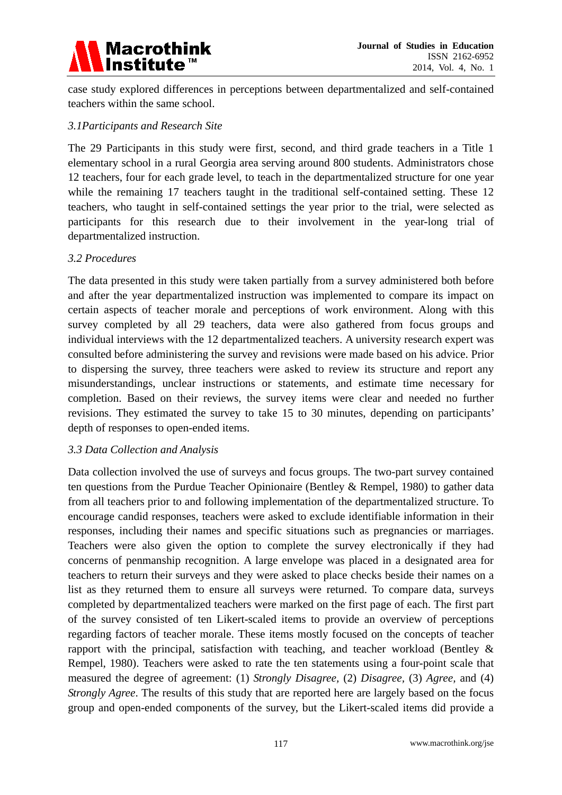

case study explored differences in perceptions between departmentalized and self-contained teachers within the same school.

#### *3.1Participants and Research Site*

The 29 Participants in this study were first, second, and third grade teachers in a Title 1 elementary school in a rural Georgia area serving around 800 students. Administrators chose 12 teachers, four for each grade level, to teach in the departmentalized structure for one year while the remaining 17 teachers taught in the traditional self-contained setting. These 12 teachers, who taught in self-contained settings the year prior to the trial, were selected as participants for this research due to their involvement in the year-long trial of departmentalized instruction.

#### *3.2 Procedures*

The data presented in this study were taken partially from a survey administered both before and after the year departmentalized instruction was implemented to compare its impact on certain aspects of teacher morale and perceptions of work environment. Along with this survey completed by all 29 teachers, data were also gathered from focus groups and individual interviews with the 12 departmentalized teachers. A university research expert was consulted before administering the survey and revisions were made based on his advice. Prior to dispersing the survey, three teachers were asked to review its structure and report any misunderstandings, unclear instructions or statements, and estimate time necessary for completion. Based on their reviews, the survey items were clear and needed no further revisions. They estimated the survey to take 15 to 30 minutes, depending on participants' depth of responses to open-ended items.

#### *3.3 Data Collection and Analysis*

Data collection involved the use of surveys and focus groups. The two-part survey contained ten questions from the Purdue Teacher Opinionaire (Bentley & Rempel, 1980) to gather data from all teachers prior to and following implementation of the departmentalized structure. To encourage candid responses, teachers were asked to exclude identifiable information in their responses, including their names and specific situations such as pregnancies or marriages. Teachers were also given the option to complete the survey electronically if they had concerns of penmanship recognition. A large envelope was placed in a designated area for teachers to return their surveys and they were asked to place checks beside their names on a list as they returned them to ensure all surveys were returned. To compare data, surveys completed by departmentalized teachers were marked on the first page of each. The first part of the survey consisted of ten Likert-scaled items to provide an overview of perceptions regarding factors of teacher morale. These items mostly focused on the concepts of teacher rapport with the principal, satisfaction with teaching, and teacher workload (Bentley & Rempel, 1980). Teachers were asked to rate the ten statements using a four-point scale that measured the degree of agreement: (1) *Strongly Disagree,* (2) *Disagree,* (3) *Agree,* and (4) *Strongly Agree*. The results of this study that are reported here are largely based on the focus group and open-ended components of the survey, but the Likert-scaled items did provide a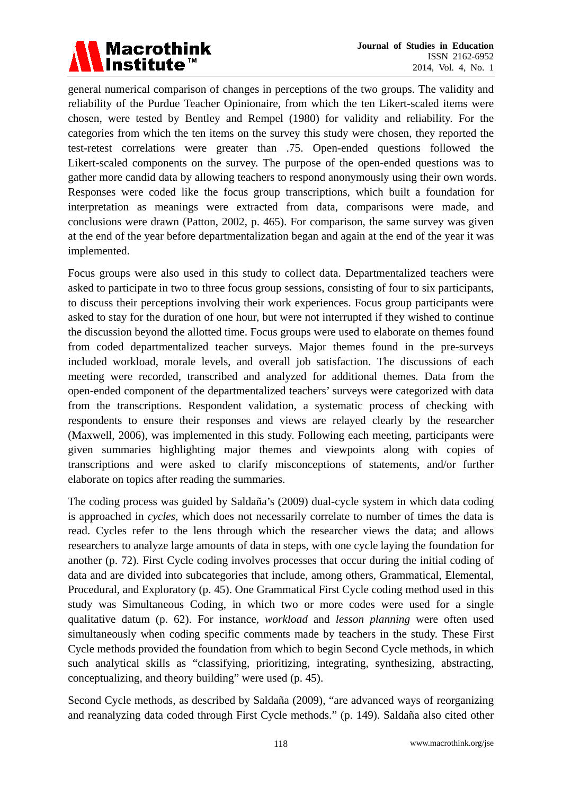

general numerical comparison of changes in perceptions of the two groups. The validity and reliability of the Purdue Teacher Opinionaire, from which the ten Likert-scaled items were chosen, were tested by Bentley and Rempel (1980) for validity and reliability. For the categories from which the ten items on the survey this study were chosen, they reported the test-retest correlations were greater than .75. Open-ended questions followed the Likert-scaled components on the survey. The purpose of the open-ended questions was to gather more candid data by allowing teachers to respond anonymously using their own words. Responses were coded like the focus group transcriptions, which built a foundation for interpretation as meanings were extracted from data, comparisons were made, and conclusions were drawn (Patton, 2002, p. 465). For comparison, the same survey was given at the end of the year before departmentalization began and again at the end of the year it was implemented.

Focus groups were also used in this study to collect data. Departmentalized teachers were asked to participate in two to three focus group sessions, consisting of four to six participants, to discuss their perceptions involving their work experiences. Focus group participants were asked to stay for the duration of one hour, but were not interrupted if they wished to continue the discussion beyond the allotted time. Focus groups were used to elaborate on themes found from coded departmentalized teacher surveys. Major themes found in the pre-surveys included workload, morale levels, and overall job satisfaction. The discussions of each meeting were recorded, transcribed and analyzed for additional themes. Data from the open-ended component of the departmentalized teachers' surveys were categorized with data from the transcriptions. Respondent validation, a systematic process of checking with respondents to ensure their responses and views are relayed clearly by the researcher (Maxwell, 2006), was implemented in this study. Following each meeting, participants were given summaries highlighting major themes and viewpoints along with copies of transcriptions and were asked to clarify misconceptions of statements, and/or further elaborate on topics after reading the summaries.

The coding process was guided by Saldaña's (2009) dual-cycle system in which data coding is approached in *cycles,* which does not necessarily correlate to number of times the data is read. Cycles refer to the lens through which the researcher views the data; and allows researchers to analyze large amounts of data in steps, with one cycle laying the foundation for another (p. 72). First Cycle coding involves processes that occur during the initial coding of data and are divided into subcategories that include, among others, Grammatical, Elemental, Procedural, and Exploratory (p. 45). One Grammatical First Cycle coding method used in this study was Simultaneous Coding, in which two or more codes were used for a single qualitative datum (p. 62). For instance, *workload* and *lesson planning* were often used simultaneously when coding specific comments made by teachers in the study. These First Cycle methods provided the foundation from which to begin Second Cycle methods, in which such analytical skills as "classifying, prioritizing, integrating, synthesizing, abstracting, conceptualizing, and theory building" were used (p. 45).

Second Cycle methods, as described by Saldaña (2009), "are advanced ways of reorganizing and reanalyzing data coded through First Cycle methods." (p. 149). Saldaña also cited other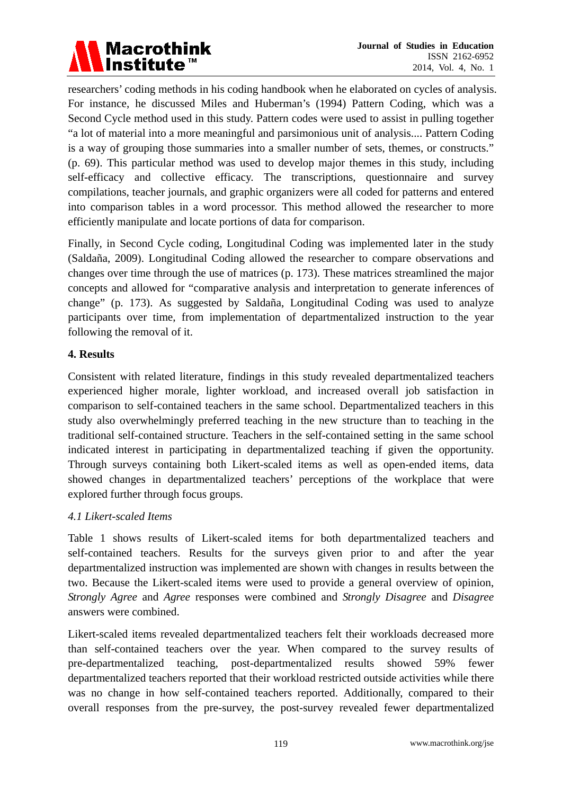

researchers' coding methods in his coding handbook when he elaborated on cycles of analysis. For instance, he discussed Miles and Huberman's (1994) Pattern Coding, which was a Second Cycle method used in this study. Pattern codes were used to assist in pulling together "a lot of material into a more meaningful and parsimonious unit of analysis.... Pattern Coding is a way of grouping those summaries into a smaller number of sets, themes, or constructs." (p. 69). This particular method was used to develop major themes in this study, including self-efficacy and collective efficacy. The transcriptions, questionnaire and survey compilations, teacher journals, and graphic organizers were all coded for patterns and entered into comparison tables in a word processor. This method allowed the researcher to more efficiently manipulate and locate portions of data for comparison.

Finally, in Second Cycle coding, Longitudinal Coding was implemented later in the study (Saldaña, 2009). Longitudinal Coding allowed the researcher to compare observations and changes over time through the use of matrices (p. 173). These matrices streamlined the major concepts and allowed for "comparative analysis and interpretation to generate inferences of change" (p. 173). As suggested by Saldaña, Longitudinal Coding was used to analyze participants over time, from implementation of departmentalized instruction to the year following the removal of it.

#### **4. Results**

Consistent with related literature, findings in this study revealed departmentalized teachers experienced higher morale, lighter workload, and increased overall job satisfaction in comparison to self-contained teachers in the same school. Departmentalized teachers in this study also overwhelmingly preferred teaching in the new structure than to teaching in the traditional self-contained structure. Teachers in the self-contained setting in the same school indicated interest in participating in departmentalized teaching if given the opportunity. Through surveys containing both Likert-scaled items as well as open-ended items, data showed changes in departmentalized teachers' perceptions of the workplace that were explored further through focus groups.

#### *4.1 Likert-scaled Items*

Table 1 shows results of Likert-scaled items for both departmentalized teachers and self-contained teachers. Results for the surveys given prior to and after the year departmentalized instruction was implemented are shown with changes in results between the two. Because the Likert-scaled items were used to provide a general overview of opinion, *Strongly Agree* and *Agree* responses were combined and *Strongly Disagree* and *Disagree* answers were combined.

Likert-scaled items revealed departmentalized teachers felt their workloads decreased more than self-contained teachers over the year. When compared to the survey results of pre-departmentalized teaching, post-departmentalized results showed 59% fewer departmentalized teachers reported that their workload restricted outside activities while there was no change in how self-contained teachers reported. Additionally, compared to their overall responses from the pre-survey, the post-survey revealed fewer departmentalized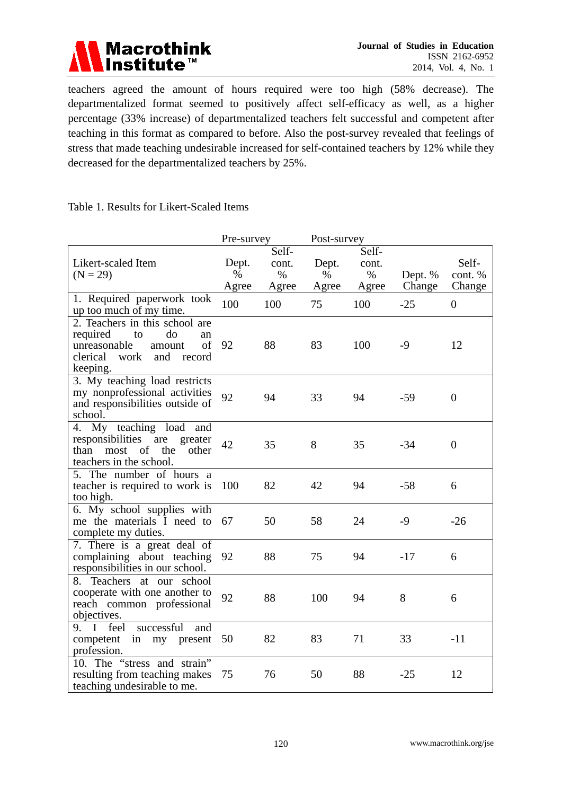

teachers agreed the amount of hours required were too high (58% decrease). The departmentalized format seemed to positively affect self-efficacy as well, as a higher percentage (33% increase) of departmentalized teachers felt successful and competent after teaching in this format as compared to before. Also the post-survey revealed that feelings of stress that made teaching undesirable increased for self-contained teachers by 12% while they decreased for the departmentalized teachers by 25%.

Table 1. Results for Likert-Scaled Items

|                                                                                                                                               | Pre-survey             |                                 | Post-survey            |                                 |                   |                            |
|-----------------------------------------------------------------------------------------------------------------------------------------------|------------------------|---------------------------------|------------------------|---------------------------------|-------------------|----------------------------|
| Likert-scaled Item<br>$(N = 29)$                                                                                                              | Dept.<br>$\%$<br>Agree | Self-<br>cont.<br>$\%$<br>Agree | Dept.<br>$\%$<br>Agree | Self-<br>cont.<br>$\%$<br>Agree | Dept. %<br>Change | Self-<br>cont. %<br>Change |
| 1. Required paperwork took<br>up too much of my time.                                                                                         | 100                    | 100                             | 75                     | 100                             | $-25$             | $\boldsymbol{0}$           |
| 2. Teachers in this school are<br>required<br>do<br>to<br>an<br>of<br>unreasonable<br>amount<br>clerical<br>and<br>work<br>record<br>keeping. | 92                     | 88                              | 83                     | 100                             | $-9$              | 12                         |
| 3. My teaching load restricts<br>my nonprofessional activities<br>and responsibilities outside of<br>school.                                  | 92                     | 94                              | 33                     | 94                              | $-59$             | $\overline{0}$             |
| 4. My teaching load<br>and<br>responsibilities are greater<br>most of<br>the<br>other<br>than<br>teachers in the school.                      | 42                     | 35                              | 8                      | 35                              | $-34$             | $\overline{0}$             |
| 5. The number of hours a<br>teacher is required to work is<br>too high.                                                                       | 100                    | 82                              | 42                     | 94                              | $-58$             | 6                          |
| 6. My school supplies with<br>me the materials I need to<br>complete my duties.                                                               | - 67                   | 50                              | 58                     | 24                              | $-9$              | $-26$                      |
| 7. There is a great deal of<br>complaining about teaching<br>responsibilities in our school.                                                  | 92                     | 88                              | 75                     | 94                              | $-17$             | 6                          |
| 8. Teachers at our school<br>cooperate with one another to<br>reach common professional<br>objectives.                                        | 92                     | 88                              | 100                    | 94                              | 8                 | 6                          |
| $\mathbf{I}$<br>successful<br>feel<br>and<br>9.<br>competent in<br>my present<br>profession.                                                  | 50                     | 82                              | 83                     | 71                              | 33                | $-11$                      |
| 10. The "stress and strain"<br>resulting from teaching makes<br>teaching undesirable to me.                                                   | 75                     | 76                              | 50                     | 88                              | $-25$             | 12                         |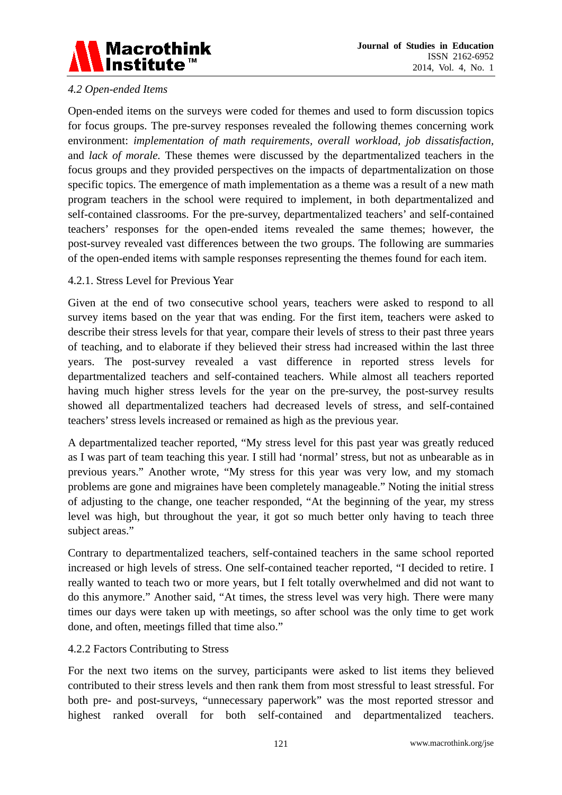

#### *4.2 Open-ended Items*

Open-ended items on the surveys were coded for themes and used to form discussion topics for focus groups. The pre-survey responses revealed the following themes concerning work environment: *implementation of math requirements, overall workload, job dissatisfaction,*  and *lack of morale.* These themes were discussed by the departmentalized teachers in the focus groups and they provided perspectives on the impacts of departmentalization on those specific topics. The emergence of math implementation as a theme was a result of a new math program teachers in the school were required to implement, in both departmentalized and self-contained classrooms. For the pre-survey, departmentalized teachers' and self-contained teachers' responses for the open-ended items revealed the same themes; however, the post-survey revealed vast differences between the two groups. The following are summaries of the open-ended items with sample responses representing the themes found for each item.

#### 4.2.1. Stress Level for Previous Year

Given at the end of two consecutive school years, teachers were asked to respond to all survey items based on the year that was ending. For the first item, teachers were asked to describe their stress levels for that year, compare their levels of stress to their past three years of teaching, and to elaborate if they believed their stress had increased within the last three years. The post-survey revealed a vast difference in reported stress levels for departmentalized teachers and self-contained teachers. While almost all teachers reported having much higher stress levels for the year on the pre-survey, the post-survey results showed all departmentalized teachers had decreased levels of stress, and self-contained teachers' stress levels increased or remained as high as the previous year.

A departmentalized teacher reported, "My stress level for this past year was greatly reduced as I was part of team teaching this year. I still had 'normal' stress, but not as unbearable as in previous years." Another wrote, "My stress for this year was very low, and my stomach problems are gone and migraines have been completely manageable." Noting the initial stress of adjusting to the change, one teacher responded, "At the beginning of the year, my stress level was high, but throughout the year, it got so much better only having to teach three subject areas."

Contrary to departmentalized teachers, self-contained teachers in the same school reported increased or high levels of stress. One self-contained teacher reported, "I decided to retire. I really wanted to teach two or more years, but I felt totally overwhelmed and did not want to do this anymore." Another said, "At times, the stress level was very high. There were many times our days were taken up with meetings, so after school was the only time to get work done, and often, meetings filled that time also."

#### 4.2.2 Factors Contributing to Stress

For the next two items on the survey, participants were asked to list items they believed contributed to their stress levels and then rank them from most stressful to least stressful. For both pre- and post-surveys, "unnecessary paperwork" was the most reported stressor and highest ranked overall for both self-contained and departmentalized teachers.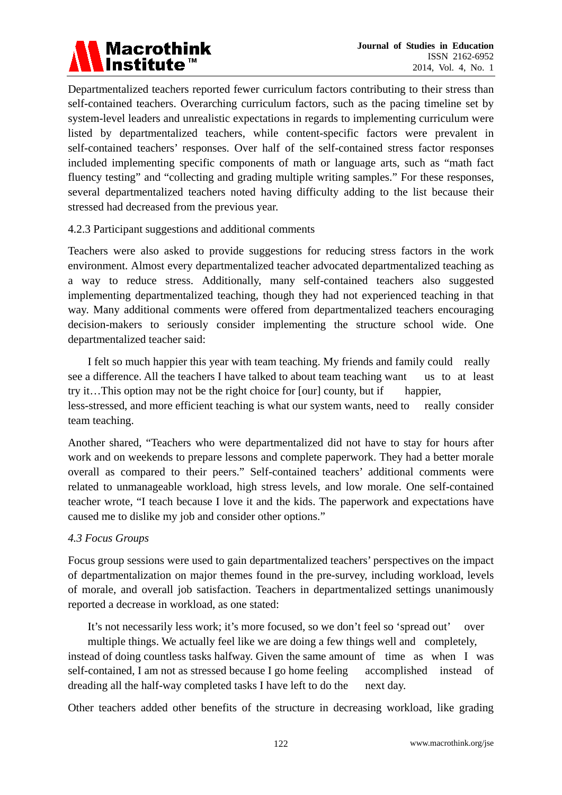

Departmentalized teachers reported fewer curriculum factors contributing to their stress than self-contained teachers. Overarching curriculum factors, such as the pacing timeline set by system-level leaders and unrealistic expectations in regards to implementing curriculum were listed by departmentalized teachers, while content-specific factors were prevalent in self-contained teachers' responses. Over half of the self-contained stress factor responses included implementing specific components of math or language arts, such as "math fact fluency testing" and "collecting and grading multiple writing samples." For these responses, several departmentalized teachers noted having difficulty adding to the list because their stressed had decreased from the previous year.

#### 4.2.3 Participant suggestions and additional comments

Teachers were also asked to provide suggestions for reducing stress factors in the work environment. Almost every departmentalized teacher advocated departmentalized teaching as a way to reduce stress. Additionally, many self-contained teachers also suggested implementing departmentalized teaching, though they had not experienced teaching in that way. Many additional comments were offered from departmentalized teachers encouraging decision-makers to seriously consider implementing the structure school wide. One departmentalized teacher said:

 I felt so much happier this year with team teaching. My friends and family could really see a difference. All the teachers I have talked to about team teaching want us to at least try it…This option may not be the right choice for [our] county, but if happier, less-stressed, and more efficient teaching is what our system wants, need to really consider team teaching.

Another shared, "Teachers who were departmentalized did not have to stay for hours after work and on weekends to prepare lessons and complete paperwork. They had a better morale overall as compared to their peers." Self-contained teachers' additional comments were related to unmanageable workload, high stress levels, and low morale. One self-contained teacher wrote, "I teach because I love it and the kids. The paperwork and expectations have caused me to dislike my job and consider other options."

#### *4.3 Focus Groups*

Focus group sessions were used to gain departmentalized teachers' perspectives on the impact of departmentalization on major themes found in the pre-survey, including workload, levels of morale, and overall job satisfaction. Teachers in departmentalized settings unanimously reported a decrease in workload, as one stated:

It's not necessarily less work; it's more focused, so we don't feel so 'spread out' over multiple things. We actually feel like we are doing a few things well and completely,

instead of doing countless tasks halfway. Given the same amount of time as when I was self-contained, I am not as stressed because I go home feeling accomplished instead of dreading all the half-way completed tasks I have left to do the next day.

Other teachers added other benefits of the structure in decreasing workload, like grading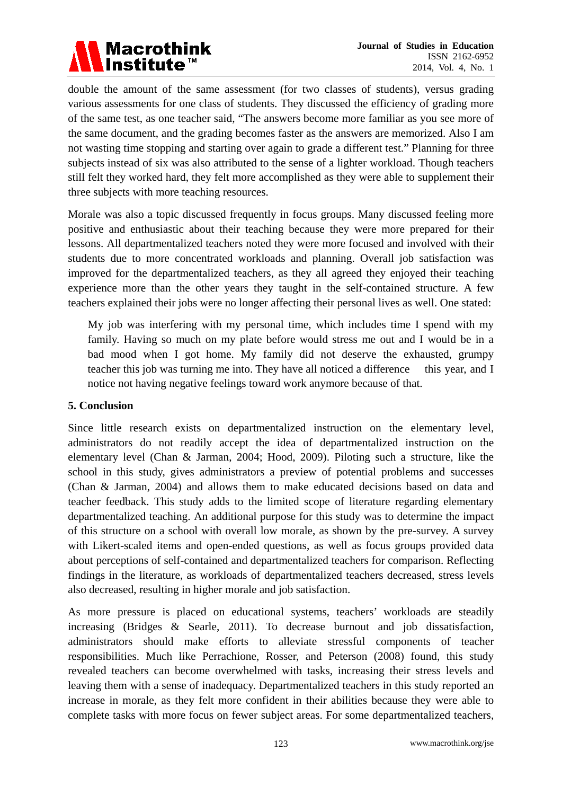

double the amount of the same assessment (for two classes of students), versus grading various assessments for one class of students. They discussed the efficiency of grading more of the same test, as one teacher said, "The answers become more familiar as you see more of the same document, and the grading becomes faster as the answers are memorized. Also I am not wasting time stopping and starting over again to grade a different test." Planning for three subjects instead of six was also attributed to the sense of a lighter workload. Though teachers still felt they worked hard, they felt more accomplished as they were able to supplement their three subjects with more teaching resources.

Morale was also a topic discussed frequently in focus groups. Many discussed feeling more positive and enthusiastic about their teaching because they were more prepared for their lessons. All departmentalized teachers noted they were more focused and involved with their students due to more concentrated workloads and planning. Overall job satisfaction was improved for the departmentalized teachers, as they all agreed they enjoyed their teaching experience more than the other years they taught in the self-contained structure. A few teachers explained their jobs were no longer affecting their personal lives as well. One stated:

 My job was interfering with my personal time, which includes time I spend with my family. Having so much on my plate before would stress me out and I would be in a bad mood when I got home. My family did not deserve the exhausted, grumpy teacher this job was turning me into. They have all noticed a difference this year, and I notice not having negative feelings toward work anymore because of that.

#### **5. Conclusion**

Since little research exists on departmentalized instruction on the elementary level, administrators do not readily accept the idea of departmentalized instruction on the elementary level (Chan & Jarman, 2004; Hood, 2009). Piloting such a structure, like the school in this study, gives administrators a preview of potential problems and successes (Chan & Jarman, 2004) and allows them to make educated decisions based on data and teacher feedback. This study adds to the limited scope of literature regarding elementary departmentalized teaching. An additional purpose for this study was to determine the impact of this structure on a school with overall low morale, as shown by the pre-survey. A survey with Likert-scaled items and open-ended questions, as well as focus groups provided data about perceptions of self-contained and departmentalized teachers for comparison. Reflecting findings in the literature, as workloads of departmentalized teachers decreased, stress levels also decreased, resulting in higher morale and job satisfaction.

As more pressure is placed on educational systems, teachers' workloads are steadily increasing (Bridges & Searle, 2011). To decrease burnout and job dissatisfaction, administrators should make efforts to alleviate stressful components of teacher responsibilities. Much like Perrachione, Rosser, and Peterson (2008) found, this study revealed teachers can become overwhelmed with tasks, increasing their stress levels and leaving them with a sense of inadequacy. Departmentalized teachers in this study reported an increase in morale, as they felt more confident in their abilities because they were able to complete tasks with more focus on fewer subject areas. For some departmentalized teachers,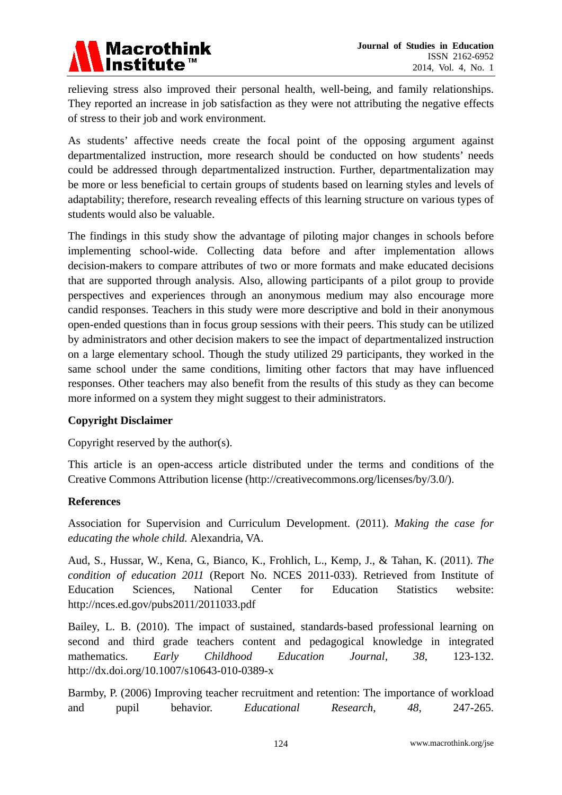

relieving stress also improved their personal health, well-being, and family relationships. They reported an increase in job satisfaction as they were not attributing the negative effects of stress to their job and work environment.

As students' affective needs create the focal point of the opposing argument against departmentalized instruction, more research should be conducted on how students' needs could be addressed through departmentalized instruction. Further, departmentalization may be more or less beneficial to certain groups of students based on learning styles and levels of adaptability; therefore, research revealing effects of this learning structure on various types of students would also be valuable.

The findings in this study show the advantage of piloting major changes in schools before implementing school-wide. Collecting data before and after implementation allows decision-makers to compare attributes of two or more formats and make educated decisions that are supported through analysis. Also, allowing participants of a pilot group to provide perspectives and experiences through an anonymous medium may also encourage more candid responses. Teachers in this study were more descriptive and bold in their anonymous open-ended questions than in focus group sessions with their peers. This study can be utilized by administrators and other decision makers to see the impact of departmentalized instruction on a large elementary school. Though the study utilized 29 participants, they worked in the same school under the same conditions, limiting other factors that may have influenced responses. Other teachers may also benefit from the results of this study as they can become more informed on a system they might suggest to their administrators.

#### **Copyright Disclaimer**

Copyright reserved by the author(s).

This article is an open-access article distributed under the terms and conditions of the Creative Commons Attribution license (http://creativecommons.org/licenses/by/3.0/).

#### **References**

Association for Supervision and Curriculum Development. (2011). *Making the case for educating the whole child.* Alexandria, VA.

Aud, S., Hussar, W., Kena, G., Bianco, K., Frohlich, L., Kemp, J., & Tahan, K. (2011). *The condition of education 2011* (Report No. NCES 2011-033). Retrieved from Institute of Education Sciences, National Center for Education Statistics website: http://nces.ed.gov/pubs2011/2011033.pdf

Bailey, L. B. (2010). The impact of sustained, standards-based professional learning on second and third grade teachers content and pedagogical knowledge in integrated mathematics. *Early Childhood Education Journal, 38*, 123-132. http://dx.doi.org/10.1007/s10643-010-0389-x

Barmby, P. (2006) Improving teacher recruitment and retention: The importance of workload and pupil behavior. *Educational Research*, *48*, 247-265.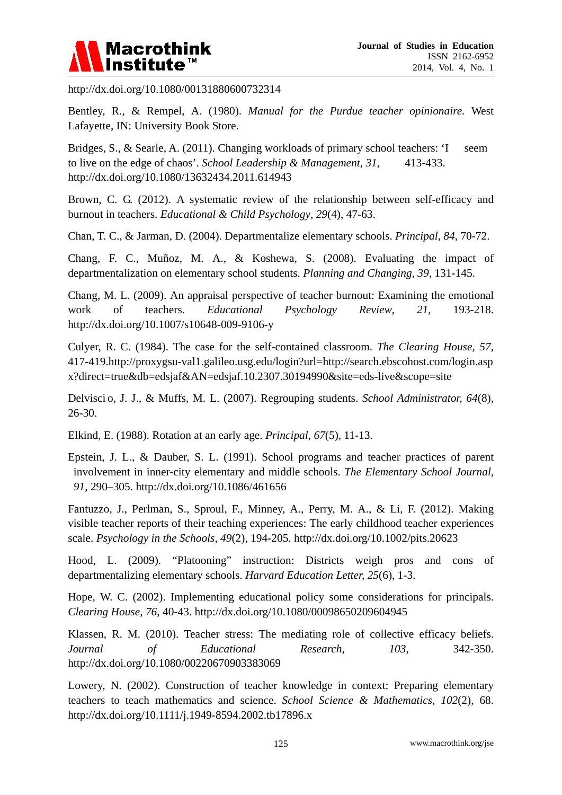

http://dx.doi.org/10.1080/00131880600732314

Bentley, R., & Rempel, A. (1980). *Manual for the Purdue teacher opinionaire.* West Lafayette, IN: University Book Store.

Bridges, S., & Searle, A. (2011). Changing workloads of primary school teachers: 'I seem to live on the edge of chaos'. *School Leadership & Management, 31*, 413-433. http://dx.doi.org/10.1080/13632434.2011.614943

Brown, C. G. (2012). A systematic review of the relationship between self-efficacy and burnout in teachers. *Educational & Child Psychology*, *29*(4), 47-63.

Chan, T. C., & Jarman, D. (2004). Departmentalize elementary schools. *Principal, 84*, 70-72.

Chang, F. C., Muñoz, M. A., & Koshewa, S. (2008). Evaluating the impact of departmentalization on elementary school students. *Planning and Changing, 39*, 131-145.

Chang, M. L. (2009). An appraisal perspective of teacher burnout: Examining the emotional work of teachers. *Educational Psychology Review*, *21*, 193-218. http://dx.doi.org/10.1007/s10648-009-9106-y

Culyer, R. C. (1984). The case for the self-contained classroom. *The Clearing House*, *57*, 417-419.http://proxygsu-val1.galileo.usg.edu/login?url=http://search.ebscohost.com/login.asp x?direct=true&db=edsjaf&AN=edsjaf.10.2307.30194990&site=eds-live&scope=site

Delvisci o, J. J., & Muffs, M. L. (2007). Regrouping students. *School Administrator, 64*(8), 26-30.

Elkind, E. (1988). Rotation at an early age. *Principal*, *67*(5), 11-13.

Epstein, J. L., & Dauber, S. L. (1991). School programs and teacher practices of parent involvement in inner-city elementary and middle schools. *The Elementary School Journal, 91*, 290–305. http://dx.doi.org/10.1086/461656

Fantuzzo, J., Perlman, S., Sproul, F., Minney, A., Perry, M. A., & Li, F. (2012). Making visible teacher reports of their teaching experiences: The early childhood teacher experiences scale. *Psychology in the Schools*, *49*(2), 194-205. http://dx.doi.org/10.1002/pits.20623

Hood, L. (2009). "Platooning" instruction: Districts weigh pros and cons of departmentalizing elementary schools. *Harvard Education Letter, 25*(6), 1-3.

Hope, W. C. (2002). Implementing educational policy some considerations for principals. *Clearing House*, *76*, 40-43. http://dx.doi.org/10.1080/00098650209604945

Klassen, R. M. (2010). Teacher stress: The mediating role of collective efficacy beliefs. *Journal of Educational Research*, *103*, 342-350. http://dx.doi.org/10.1080/00220670903383069

Lowery, N. (2002). Construction of teacher knowledge in context: Preparing elementary teachers to teach mathematics and science. *School Science & Mathematics*, *102*(2), 68. http://dx.doi.org/10.1111/j.1949-8594.2002.tb17896.x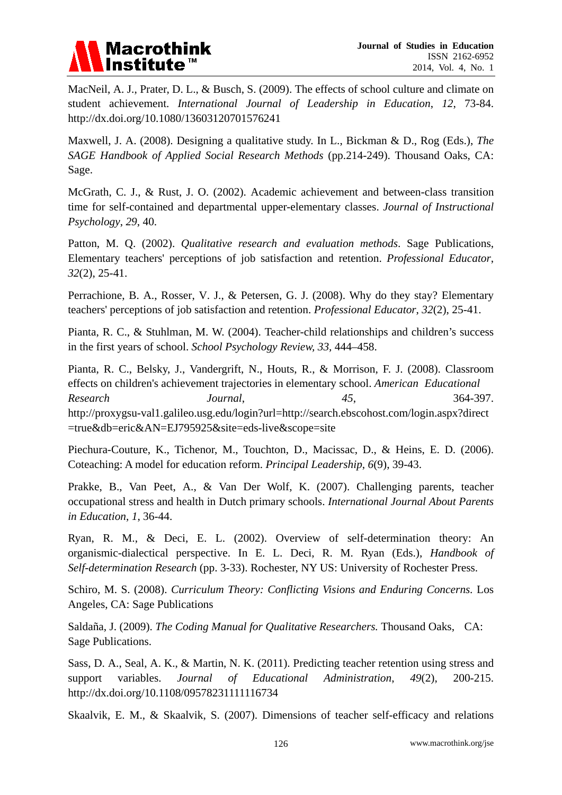

MacNeil, A. J., Prater, D. L., & Busch, S. (2009). The effects of school culture and climate on student achievement. *International Journal of Leadership in Education*, *12*, 73-84. http://dx.doi.org/10.1080/13603120701576241

Maxwell, J. A. (2008). Designing a qualitative study. In L., Bickman & D., Rog (Eds.), *The SAGE Handbook of Applied Social Research Methods* (pp.214-249). Thousand Oaks, CA: Sage.

McGrath, C. J., & Rust, J. O. (2002). Academic achievement and between-class transition time for self-contained and departmental upper-elementary classes. *Journal of Instructional Psychology*, *29*, 40.

Patton, M. Q. (2002). *Qualitative research and evaluation methods*. Sage Publications, Elementary teachers' perceptions of job satisfaction and retention. *Professional Educator*, *32*(2), 25-41.

Perrachione, B. A., Rosser, V. J., & Petersen, G. J. (2008). Why do they stay? Elementary teachers' perceptions of job satisfaction and retention. *Professional Educator*, *32*(2), 25-41.

Pianta, R. C., & Stuhlman, M. W. (2004). Teacher-child relationships and children's success in the first years of school. *School Psychology Review, 33,* 444–458.

Pianta, R. C., Belsky, J., Vandergrift, N., Houts, R., & Morrison, F. J. (2008). Classroom effects on children's achievement trajectories in elementary school. *American Educational Research Journal*, *45*, 364-397. http://proxygsu-val1.galileo.usg.edu/login?url=http://search.ebscohost.com/login.aspx?direct =true&db=eric&AN=EJ795925&site=eds-live&scope=site

Piechura-Couture, K., Tichenor, M., Touchton, D., Macissac, D., & Heins, E. D. (2006). Coteaching: A model for education reform. *Principal Leadership*, *6*(9), 39-43.

Prakke, B., Van Peet, A., & Van Der Wolf, K. (2007). Challenging parents, teacher occupational stress and health in Dutch primary schools. *International Journal About Parents in Education*, *1*, 36-44.

Ryan, R. M., & Deci, E. L. (2002). Overview of self-determination theory: An organismic-dialectical perspective. In E. L. Deci, R. M. Ryan (Eds.), *Handbook of Self-determination Research* (pp. 3-33). Rochester, NY US: University of Rochester Press.

Schiro, M. S. (2008). *Curriculum Theory: Conflicting Visions and Enduring Concerns.* Los Angeles, CA: Sage Publications

Saldaña, J. (2009). *The Coding Manual for Qualitative Researchers.* Thousand Oaks, CA: Sage Publications.

Sass, D. A., Seal, A. K., & Martin, N. K. (2011). Predicting teacher retention using stress and support variables. *Journal of Educational Administration*, *49*(2), 200-215. http://dx.doi.org/10.1108/09578231111116734

Skaalvik, E. M., & Skaalvik, S. (2007). Dimensions of teacher self-efficacy and relations